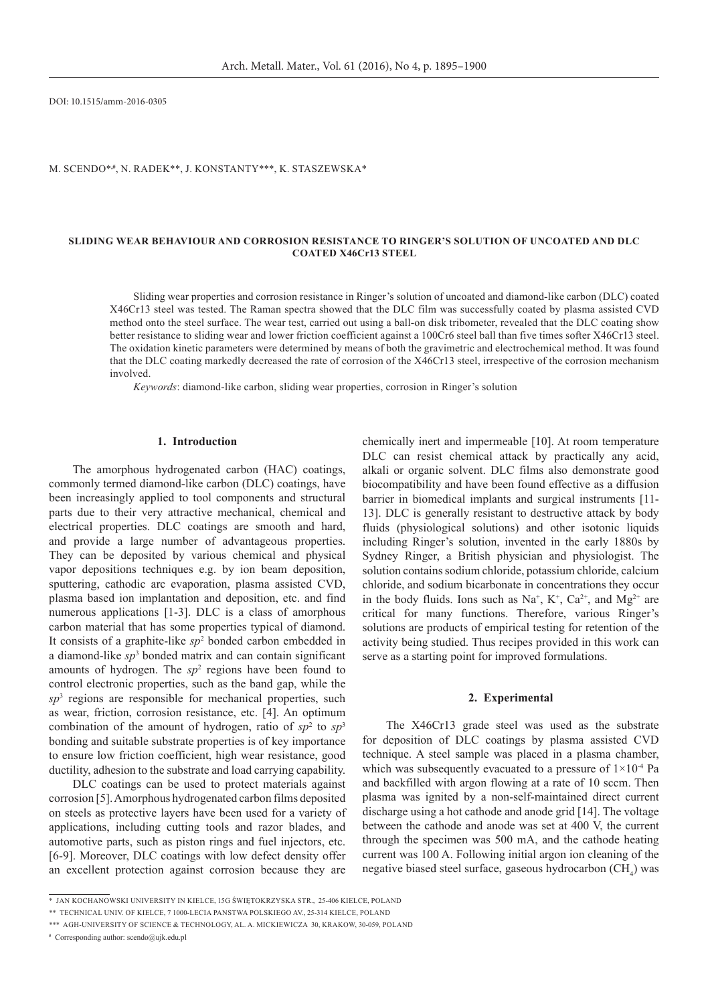DOI: 10.1515/amm-2016-0305

M. Scendo\***,#**, N. Radek\*\*, J. Konstanty\*\*\*, K. Staszewska\*

## **SLIDING WEAR BEHAVIOUR AND Corrosion Resistance TO ringer'S solution of Uncoated and DLC Coated X46Cr13 Steel**

Sliding wear properties and corrosion resistance in Ringer's solution of uncoated and diamond-like carbon (DLC) coated X46Cr13 steel was tested. The Raman spectra showed that the DLC film was successfully coated by plasma assisted CVD method onto the steel surface. The wear test, carried out using a ball-on disk tribometer, revealed that the DLC coating show better resistance to sliding wear and lower friction coefficient against a 100Cr6 steel ball than five times softer X46Cr13 steel. The oxidation kinetic parameters were determined by means of both the gravimetric and electrochemical method. It was found that the DLC coating markedly decreased the rate of corrosion of the X46Cr13 steel, irrespective of the corrosion mechanism involved.

*Keywords*: diamond-like carbon, sliding wear properties, corrosion in Ringer's solution

## **1. Introduction**

The amorphous hydrogenated carbon (HAC) coatings, commonly termed diamond-like carbon (DLC) coatings, have been increasingly applied to tool components and structural parts due to their very attractive mechanical, chemical and electrical properties. DLC coatings are smooth and hard, and provide a large number of advantageous properties. They can be deposited by various chemical and physical vapor depositions techniques e.g. by ion beam deposition, sputtering, cathodic arc evaporation, plasma assisted CVD, plasma based ion implantation and deposition, etc. and find numerous applications [1-3]. DLC is a class of amorphous carbon material that has some properties typical of diamond. It consists of a graphite-like *sp*<sup>2</sup> bonded carbon embedded in a diamond-like *sp*<sup>3</sup> bonded matrix and can contain significant amounts of hydrogen. The  $sp<sup>2</sup>$  regions have been found to control electronic properties, such as the band gap, while the *sp*<sup>3</sup> regions are responsible for mechanical properties, such as wear, friction, corrosion resistance, etc. [4]. An optimum combination of the amount of hydrogen, ratio of  $sp^2$  to  $sp^3$ bonding and suitable substrate properties is of key importance to ensure low friction coefficient, high wear resistance, good ductility, adhesion to the substrate and load carrying capability.

DLC coatings can be used to protect materials against corrosion [5]. Amorphous hydrogenated carbon films deposited on steels as protective layers have been used for a variety of applications, including cutting tools and razor blades, and automotive parts, such as piston rings and fuel injectors, etc. [6-9]. Moreover, DLC coatings with low defect density offer an excellent protection against corrosion because they are chemically inert and impermeable [10]. At room temperature DLC can resist chemical attack by practically any acid, alkali or organic solvent. DLC films also demonstrate good biocompatibility and have been found effective as a diffusion barrier in biomedical implants and surgical instruments [11- 13]. DLC is generally resistant to destructive attack by body fluids (physiological solutions) and other isotonic liquids including Ringer's solution, invented in the early 1880s by Sydney Ringer, a British physician and physiologist. The solution contains sodium chloride, potassium chloride, calcium chloride, and sodium bicarbonate in concentrations they occur in the body fluids. Ions such as  $Na^+$ ,  $K^+$ ,  $Ca^{2+}$ , and  $Mg^{2+}$  are critical for many functions. Therefore, various Ringer's solutions are products of empirical testing for retention of the activity being studied. Thus recipes provided in this work can serve as a starting point for improved formulations.

## **2. Experimental**

The X46Cr13 grade steel was used as the substrate for deposition of DLC coatings by plasma assisted CVD technique. A steel sample was placed in a plasma chamber, which was subsequently evacuated to a pressure of  $1 \times 10^{-4}$  Pa and backfilled with argon flowing at a rate of 10 sccm. Then plasma was ignited by a non-self-maintained direct current discharge using a hot cathode and anode grid [14]. The voltage between the cathode and anode was set at 400 V, the current through the specimen was 500 mA, and the cathode heating current was 100 A. Following initial argon ion cleaning of the negative biased steel surface, gaseous hydrocarbon  $\text{CH}_4$ ) was

**#** Corresponding author: scendo@ujk.edu.pl

<sup>\*</sup>Jan Kochanowski University in Kielce, 15G Świętokrzyska Str., 25-406 Kielce, Poland

<sup>\*\*</sup> Technical Univ. of Kielce, 7 1000-lecia Panstwa Polskiego Av., 25-314 Kielce, Poland

<sup>\*\*\*</sup> AGH-University of Science & Technology, Al. A. Mickiewicza 30, Krakow, 30-059, Poland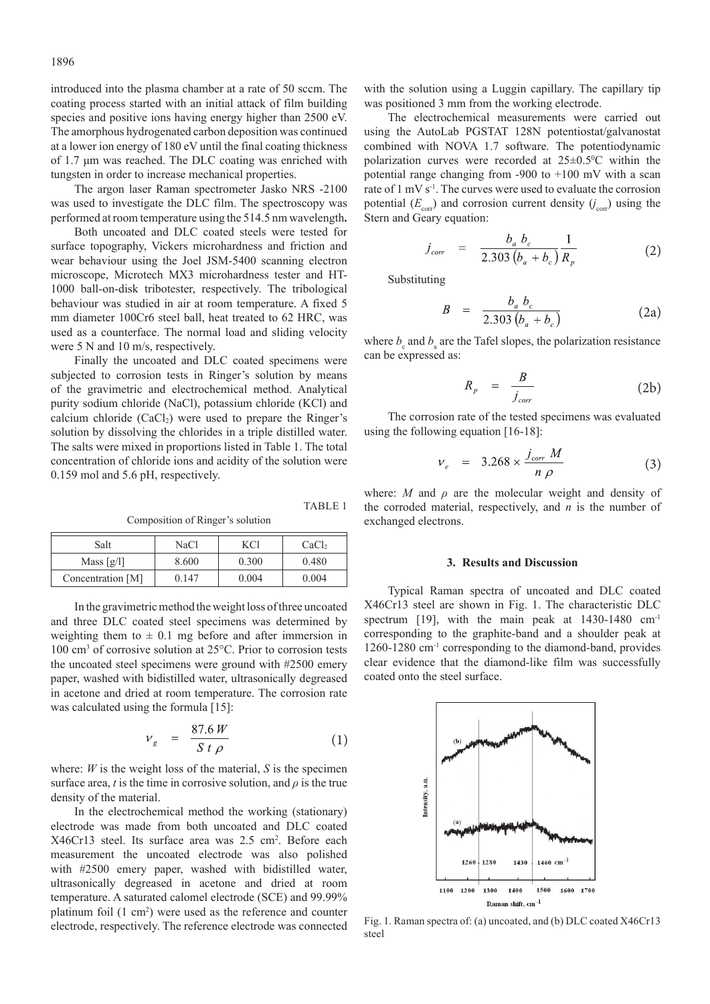introduced into the plasma chamber at a rate of 50 sccm. The coating process started with an initial attack of film building species and positive ions having energy higher than 2500 eV. The amorphous hydrogenated carbon deposition was continued at a lower ion energy of 180 eV until the final coating thickness of 1.7 μm was reached. The DLC coating was enriched with tungsten in order to increase mechanical properties.

The argon laser Raman spectrometer Jasko NRS -2100 was used to investigate the DLC film. The spectroscopy was performed at room temperature using the 514.5 nm wavelength**.**

Both uncoated and DLC coated steels were tested for surface topography, Vickers microhardness and friction and wear behaviour using the Joel JSM-5400 scanning electron microscope, Microtech MX3 microhardness tester and HT-1000 ball-on-disk tribotester, respectively. The tribological behaviour was studied in air at room temperature. A fixed 5 mm diameter 100Cr6 steel ball, heat treated to 62 HRC, was used as a counterface. The normal load and sliding velocity were 5 N and 10 m/s, respectively.

Finally the uncoated and DLC coated specimens were subjected to corrosion tests in Ringer's solution by means of the gravimetric and electrochemical method. Analytical purity sodium chloride (NaCl), potassium chloride (KCl) and calcium chloride  $(CaCl<sub>2</sub>)$  were used to prepare the Ringer's solution by dissolving the chlorides in a triple distilled water. The salts were mixed in proportions listed in Table 1. The total concentration of chloride ions and acidity of the solution were 0.159 mol and 5.6 pH, respectively.

Composition of Ringer's solution

| Salt                             | NaCl  | KCl   | CaCl <sub>2</sub> |
|----------------------------------|-------|-------|-------------------|
| Mass $\lceil \frac{g}{l} \rceil$ | 8.600 | 0.300 | 0.480             |
| Concentration [M]                | 0.147 | 0.004 | 0.004             |

In the gravimetric method the weight loss of three uncoated and three DLC coated steel specimens was determined by weighting them to  $\pm$  0.1 mg before and after immersion in 100 cm3 of corrosive solution at 25°C. Prior to corrosion tests the uncoated steel specimens were ground with #2500 emery paper, washed with bidistilled water, ultrasonically degreased in acetone and dried at room temperature. The corrosion rate was calculated using the formula [15]:

$$
v_g = \frac{87.6 \, W}{S \, t \, \rho} \tag{1}
$$

TABLE 1

where: *W* is the weight loss of the material, *S* is the specimen surface area, *t* is the time in corrosive solution, and  $\rho$  is the true density of the material.

In the electrochemical method the working (stationary) electrode was made from both uncoated and DLC coated X46Cr13 steel. Its surface area was 2.5 cm<sup>2</sup>. Before each measurement the uncoated electrode was also polished with #2500 emery paper, washed with bidistilled water, ultrasonically degreased in acetone and dried at room temperature. A saturated calomel electrode (SCE) and 99.99% platinum foil (1 cm<sup>2</sup>) were used as the reference and counter electrode, respectively. The reference electrode was connected

with the solution using a Luggin capillary. The capillary tip was positioned 3 mm from the working electrode.

The electrochemical measurements were carried out using the AutoLab PGSTAT 128N potentiostat/galvanostat combined with NOVA 1.7 software. The potentiodynamic polarization curves were recorded at  $25 \pm 0.5^{\circ}$ C within the potential range changing from -900 to +100 mV with a scan rate of 1 mV s<sup>-1</sup>. The curves were used to evaluate the corrosion potential  $(E_{\text{corr}})$  and corrosion current density  $(j_{\text{corr}})$  using the Stern and Geary equation:

$$
j_{corr} = \frac{b_a b_c}{2.303 (b_a + b_c)} \frac{1}{R_p}
$$
 (2)

Substituting

$$
B = \frac{b_a b_c}{2.303 (b_a + b_c)}
$$
 (2a)

where  $b_c$  and  $b_a$  are the Tafel slopes, the polarization resistance can be expressed as:

$$
R_p = \frac{B}{j_{corr}} \tag{2b}
$$

The corrosion rate of the tested specimens was evaluated using the following equation [16-18]:

$$
v_e = 3.268 \times \frac{j_{corr} M}{n \rho}
$$
 (3)

where: *M* and  $\rho$  are the molecular weight and density of the corroded material, respectively, and *n* is the number of exchanged electrons.

## **3. Results and Discussion**

Typical Raman spectra of uncoated and DLC coated X46Cr13 steel are shown in Fig. 1. The characteristic DLC spectrum [19], with the main peak at  $1430-1480$  cm<sup>-1</sup> corresponding to the graphite-band and a shoulder peak at 1260-1280 cm-1 corresponding to the diamond-band, provides clear evidence that the diamond-like film was successfully coated onto the steel surface.



Fig. 1. Raman spectra of: (a) uncoated, and (b) DLC coated X46Cr13 steel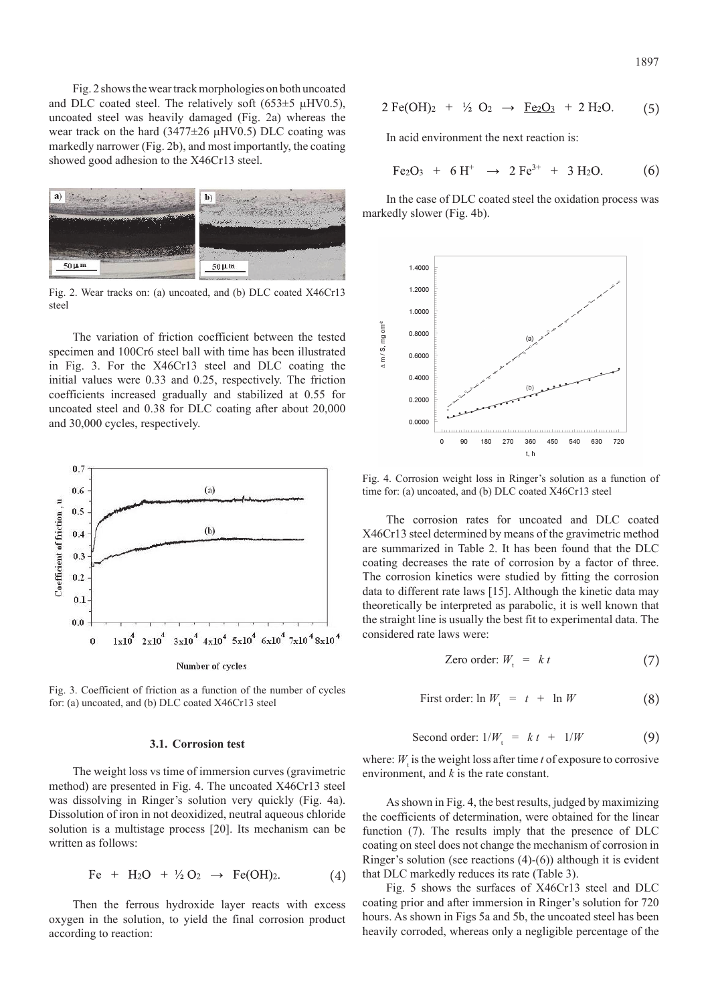Fig. 2 shows the wear track morphologies on both uncoated and DLC coated steel. The relatively soft  $(653±5 \mu$ HV0.5), uncoated steel was heavily damaged (Fig. 2a) whereas the wear track on the hard  $(3477\pm26 \mu$ HV0.5) DLC coating was markedly narrower (Fig. 2b), and most importantly, the coating showed good adhesion to the X46Cr13 steel.



Fig. 2. Wear tracks on: (a) uncoated, and (b) DLC coated X46Cr13 steel

The variation of friction coefficient between the tested specimen and 100Cr6 steel ball with time has been illustrated in Fig. 3. For the X46Cr13 steel and DLC coating the initial values were 0.33 and 0.25, respectively. The friction coefficients increased gradually and stabilized at 0.55 for uncoated steel and 0.38 for DLC coating after about 20,000 and 30,000 cycles, respectively.



Fig. 3. Coefficient of friction as a function of the number of cycles for: (a) uncoated, and (b) DLC coated X46Cr13 steel

## **3.1. Corrosion test**

The weight loss vs time of immersion curves (gravimetric method) are presented in Fig. 4. The uncoated X46Cr13 steel was dissolving in Ringer's solution very quickly (Fig. 4a). Dissolution of iron in not deoxidized, neutral aqueous chloride solution is a multistage process [20]. Its mechanism can be written as follows:

$$
\text{Fe} + \text{H}_2\text{O} + \frac{1}{2}\text{O}_2 \rightarrow \text{Fe(OH)}_2. \tag{4}
$$

Then the ferrous hydroxide layer reacts with excess oxygen in the solution, to yield the final corrosion product according to reaction:

$$
1897\\
$$

$$
2 \,\mathrm{Fe(OH)}_2 + \frac{1}{2} \,\mathrm{O}_2 \rightarrow \frac{\,\mathrm{Fe}_2\mathrm{O}_3}{2} + 2 \,\mathrm{H}_2\mathrm{O}. \tag{5}
$$

In acid environment the next reaction is:

$$
Fe2O3 + 6 H+ \rightarrow 2 Fe3+ + 3 H2O.
$$
 (6)

In the case of DLC coated steel the oxidation process was markedly slower (Fig. 4b).



Fig. 4. Corrosion weight loss in Ringer's solution as a function of time for: (a) uncoated, and (b) DLC coated X46Cr13 steel

The corrosion rates for uncoated and DLC coated X46Cr13 steel determined by means of the gravimetric method are summarized in Table 2. It has been found that the DLC coating decreases the rate of corrosion by a factor of three. The corrosion kinetics were studied by fitting the corrosion data to different rate laws [15]. Although the kinetic data may theoretically be interpreted as parabolic, it is well known that the straight line is usually the best fit to experimental data. The considered rate laws were:

Zero order: 
$$
W_t = kt
$$
 (7)

First order: 
$$
\ln W_t = t + \ln W
$$
 (8)

Second order: 
$$
1/W_t = kt + 1/W
$$
 (9)

where:  $W_t$  is the weight loss after time *t* of exposure to corrosive environment, and *k* is the rate constant.

As shown in Fig. 4, the best results, judged by maximizing the coefficients of determination, were obtained for the linear function (7). The results imply that the presence of DLC coating on steel does not change the mechanism of corrosion in Ringer's solution (see reactions (4)-(6)) although it is evident that DLC markedly reduces its rate (Table 3).

Fig. 5 shows the surfaces of X46Cr13 steel and DLC coating prior and after immersion in Ringer's solution for 720 hours. As shown in Figs 5a and 5b, the uncoated steel has been heavily corroded, whereas only a negligible percentage of the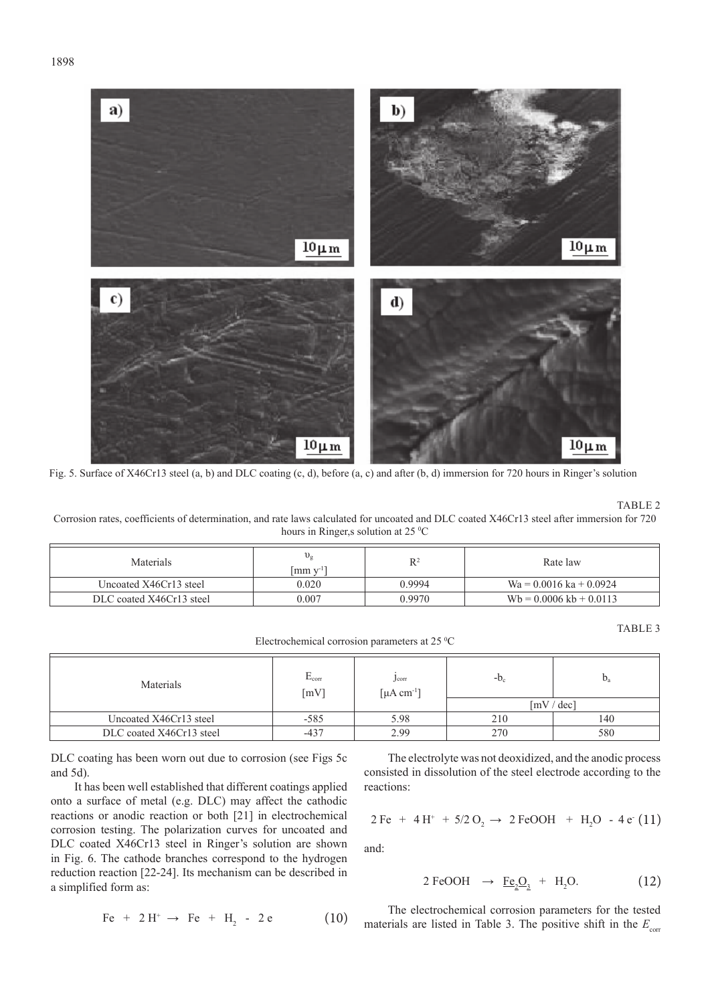

Fig. 5. Surface of X46Cr13 steel (a, b) and DLC coating (c, d), before (a, c) and after (b, d) immersion for 720 hours in Ringer's solution

TABLE 2

Corrosion rates, coefficients of determination, and rate laws calculated for uncoated and DLC coated X46Cr13 steel after immersion for 720 hours in Ringer, s solution at 25 °C

| <b>Materials</b>         | $v_{\rm g}$<br>$\lceil \text{mm} \, \text{v} \rceil$ | R      | Rate law                          |
|--------------------------|------------------------------------------------------|--------|-----------------------------------|
| Uncoated X46Cr13 steel   | 0.020                                                | 0.9994 | $Wa = 0.0016$ ka + 0.0924         |
| DLC coated X46Cr13 steel | 0.007                                                | 0.9970 | $Wb = 0.0006 \text{ kb} + 0.0113$ |

TABLE 3

Electrochemical corrosion parameters at 25 °C

| Materials                | $E_{corr}$<br>[mV] | J <sub>corr</sub><br>$\lceil \mu A \text{ cm}^{-1} \rceil$ | $-D_c$                                | $b_a$ |
|--------------------------|--------------------|------------------------------------------------------------|---------------------------------------|-------|
|                          |                    |                                                            | $\left[\text{mV} / \text{dec}\right]$ |       |
| Uncoated X46Cr13 steel   | $-585$             | 5.98                                                       | 210                                   | 140   |
| DLC coated X46Cr13 steel | $-437$             | 2.99                                                       | 270                                   | 580   |

DLC coating has been worn out due to corrosion (see Figs 5c and 5d).

It has been well established that different coatings applied onto a surface of metal (e.g. DLC) may affect the cathodic reactions or anodic reaction or both [21] in electrochemical corrosion testing. The polarization curves for uncoated and DLC coated X46Cr13 steel in Ringer's solution are shown in Fig. 6. The cathode branches correspond to the hydrogen reduction reaction [22-24]. Its mechanism can be described in a simplified form as:

$$
Fe + 2 H^{+} \rightarrow Fe + H_{2} - 2 e \tag{10}
$$

The electrolyte was not deoxidized, and the anodic process consisted in dissolution of the steel electrode according to the reactions:

$$
2 \,\text{Fe} + 4 \,\text{H}^+ + 5/2 \,\text{O}_2 \rightarrow 2 \,\text{FeOOH} + \text{H}_2\text{O} - 4 \,\text{e}^{\cdot} \,(11)
$$

and:

$$
2 \text{FeOOH} \rightarrow \text{Fe}_2\text{O}_3 + \text{H}_2\text{O}. \tag{12}
$$

The electrochemical corrosion parameters for the tested materials are listed in Table 3. The positive shift in the  $E_{\text{corr}}$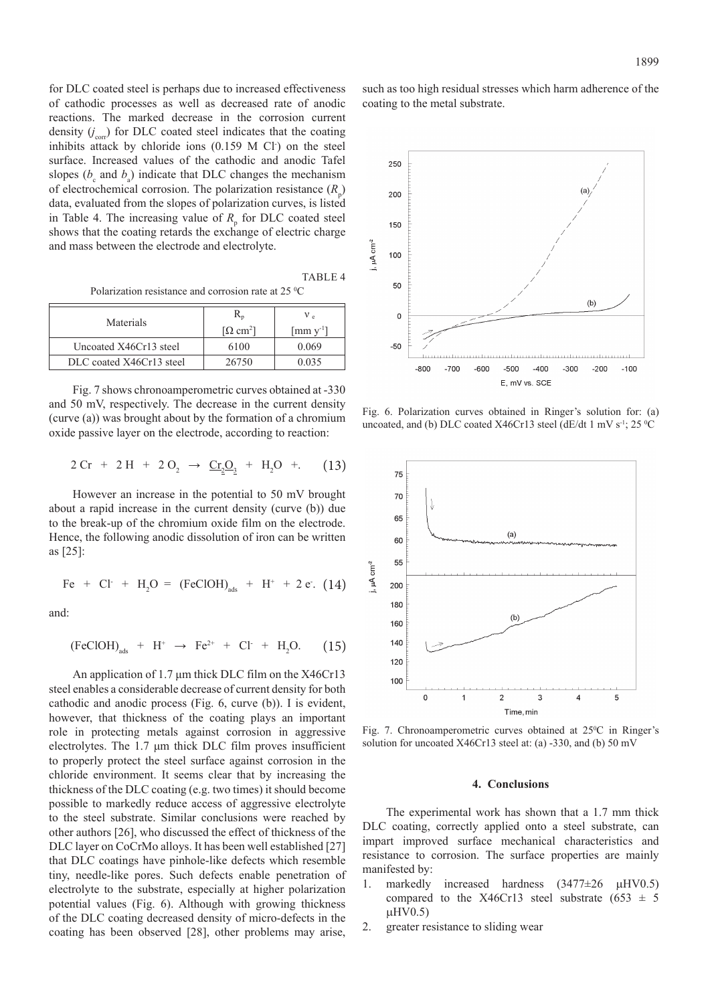for DLC coated steel is perhaps due to increased effectiveness of cathodic processes as well as decreased rate of anodic reactions. The marked decrease in the corrosion current density  $(j_{\text{corr}})$  for DLC coated steel indicates that the coating inhibits attack by chloride ions  $(0.159 \text{ M} \text{ Cl})$  on the steel surface. Increased values of the cathodic and anodic Tafel slopes ( $b_c$  and  $b_a$ ) indicate that DLC changes the mechanism of electrochemical corrosion. The polarization resistance  $(R_p)$ data, evaluated from the slopes of polarization curves, is listed in Table 4. The increasing value of  $R_{\text{p}}$  for DLC coated steel shows that the coating retards the exchange of electric charge and mass between the electrode and electrolyte.

TABLE 4 Polarization resistance and corrosion rate at 25 °C

| Materials                |                                     | ν.                                             |
|--------------------------|-------------------------------------|------------------------------------------------|
|                          | $\lceil \Omega \text{ cm}^2 \rceil$ | $\left[\text{mm}\,\text{y}^{\text{-}1}\right]$ |
| Uncoated X46Cr13 steel   | 6100                                | 0.069                                          |
| DLC coated X46Cr13 steel | 26750                               | 0.035                                          |

Fig. 7 shows chronoamperometric curves obtained at -330 and 50 mV, respectively. The decrease in the current density (curve (a)) was brought about by the formation of a chromium oxide passive layer on the electrode, according to reaction:

$$
2 \text{ Cr} + 2 \text{H} + 2 \text{O}_2 \rightarrow \underline{\text{Cr}}_2\text{O}_3 + \text{H}_2\text{O} + . \quad (13)
$$

However an increase in the potential to 50 mV brought about a rapid increase in the current density (curve (b)) due to the break-up of the chromium oxide film on the electrode. Hence, the following anodic dissolution of iron can be written as [25]:

$$
Fe + Cl + H2O = (FeClOH)ads + H+ + 2 e. (14)
$$

and:

$$
(\text{FeClOH})_{\text{ads}} + \text{H}^+ \rightarrow \text{Fe}^{2+} + \text{Cl}^+ + \text{H}_2\text{O}. \tag{15}
$$

An application of 1.7 μm thick DLC film on the X46Cr13 steel enables a considerable decrease of current density for both cathodic and anodic process (Fig. 6, curve (b)). I is evident, however, that thickness of the coating plays an important role in protecting metals against corrosion in aggressive electrolytes. The 1.7 μm thick DLC film proves insufficient to properly protect the steel surface against corrosion in the chloride environment. It seems clear that by increasing the thickness of the DLC coating (e.g. two times) it should become possible to markedly reduce access of aggressive electrolyte to the steel substrate. Similar conclusions were reached by other authors [26], who discussed the effect of thickness of the DLC layer on CoCrMo alloys. It has been well established [27] that DLC coatings have pinhole-like defects which resemble tiny, needle-like pores. Such defects enable penetration of electrolyte to the substrate, especially at higher polarization potential values (Fig. 6). Although with growing thickness of the DLC coating decreased density of micro-defects in the coating has been observed [28], other problems may arise,

such as too high residual stresses which harm adherence of the coating to the metal substrate.



Fig. 6. Polarization curves obtained in Ringer's solution for: (a) uncoated, and (b) DLC coated X46Cr13 steel (dE/dt 1 mV s<sup>-1</sup>; 25  $^{\circ}$ C



Fig. 7. Chronoamperometric curves obtained at 25°C in Ringer's solution for uncoated X46Cr13 steel at: (a) -330, and (b) 50 mV

## **4. Conclusions**

The experimental work has shown that a 1.7 mm thick DLC coating, correctly applied onto a steel substrate, can impart improved surface mechanical characteristics and resistance to corrosion. The surface properties are mainly manifested by:

- 1. markedly increased hardness  $(3477\pm26 \mu HV0.5)$ compared to the X46Cr13 steel substrate (653  $\pm$  5  $\mu$ HV0.5)
- 2. greater resistance to sliding wear